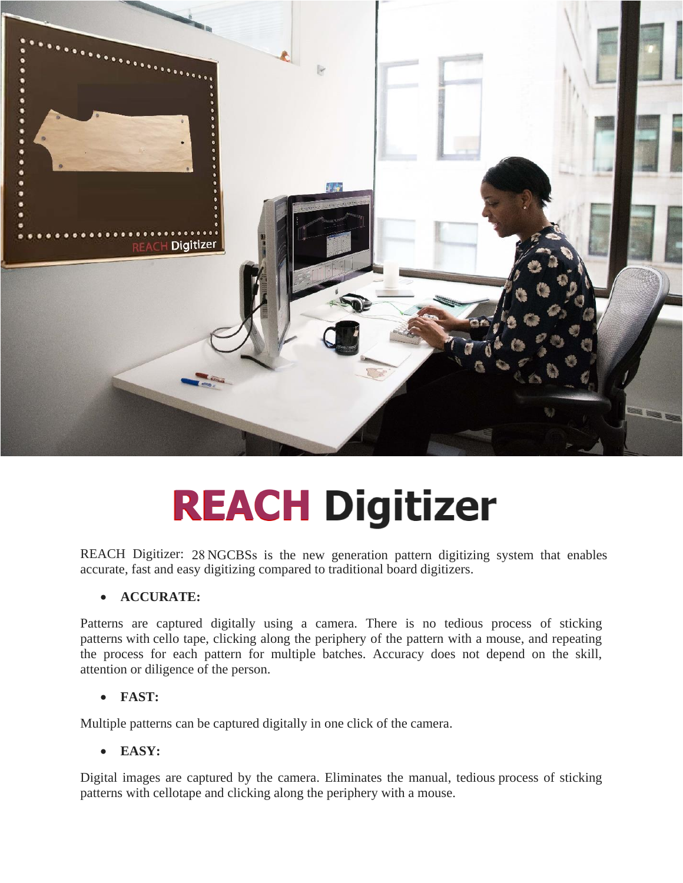

# **REACH Digitizer**

REACH Digitizer: 28 NGCBSs is the new generation pattern digitizing system that enablesaccurate, fast and easy digitizing compared to traditional board digitizers.

## • **ACCURATE:**

Patterns are captured digitally using a camera. There is no tedious process of sticking patterns with cello tape, clicking along the periphery of the pattern with a mouse, and repeating the process for each pattern for multiple batches. Accuracy does not depend on the skill, attention or diligence of the person.

#### • **FAST:**

Multiple patterns can be captured digitally in one click of the camera.

## • **EASY:**

Digital images are captured by the camera. Eliminates the manual, tedious process of sticking patterns with cellotape and clicking along the periphery with a mouse.